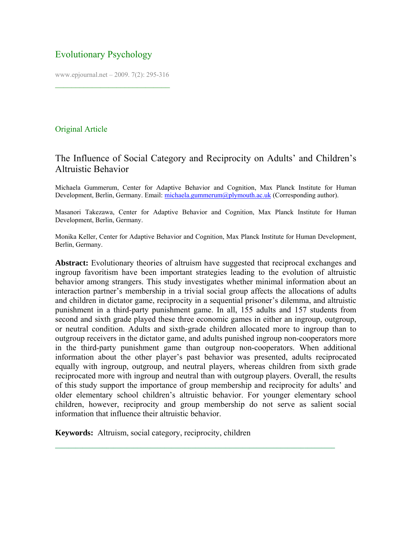# Evolutionary Psychology

www.epjournal.net – 2009. 7(2): 295-316

¯¯¯¯¯¯¯¯¯¯¯¯¯¯¯¯¯¯¯¯¯¯¯¯¯¯¯¯

## Original Article

# The Influence of Social Category and Reciprocity on Adults' and Children's Altruistic Behavior

Michaela Gummerum, Center for Adaptive Behavior and Cognition, Max Planck Institute for Human Development, Berlin, Germany. Email: [michaela.gummerum@plymouth.ac.uk](mailto:michaela.gummerum@plymouth.ac.uk) (Corresponding author).

Masanori Takezawa, Center for Adaptive Behavior and Cognition, Max Planck Institute for Human Development, Berlin, Germany.

Monika Keller, Center for Adaptive Behavior and Cognition, Max Planck Institute for Human Development, Berlin, Germany.

**Abstract:** Evolutionary theories of altruism have suggested that reciprocal exchanges and ingroup favoritism have been important strategies leading to the evolution of altruistic behavior among strangers. This study investigates whether minimal information about an interaction partner's membership in a trivial social group affects the allocations of adults and children in dictator game, reciprocity in a sequential prisoner's dilemma, and altruistic punishment in a third-party punishment game. In all, 155 adults and 157 students from second and sixth grade played these three economic games in either an ingroup, outgroup, or neutral condition. Adults and sixth-grade children allocated more to ingroup than to outgroup receivers in the dictator game, and adults punished ingroup non-cooperators more in the third-party punishment game than outgroup non-cooperators. When additional information about the other player's past behavior was presented, adults reciprocated equally with ingroup, outgroup, and neutral players, whereas children from sixth grade reciprocated more with ingroup and neutral than with outgroup players. Overall, the results of this study support the importance of group membership and reciprocity for adults' and older elementary school children's altruistic behavior. For younger elementary school children, however, reciprocity and group membership do not serve as salient social information that influence their altruistic behavior.

**¯¯¯¯¯¯¯¯¯¯¯¯¯¯¯¯¯¯¯¯¯¯¯¯¯¯¯¯¯¯¯¯¯¯¯¯¯¯¯¯¯¯¯¯¯¯¯¯¯¯¯¯¯¯¯¯¯¯¯¯¯¯¯¯¯¯¯¯¯¯¯¯¯¯¯¯¯¯¯¯¯¯**

**Keywords:** Altruism, social category, reciprocity, children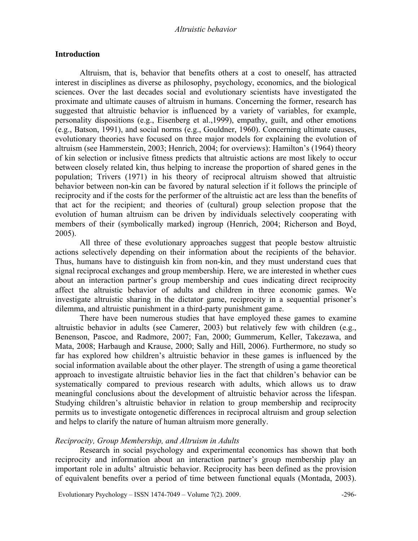## **Introduction**

Altruism, that is, behavior that benefits others at a cost to oneself, has attracted interest in disciplines as diverse as philosophy, psychology, economics, and the biological sciences. Over the last decades social and evolutionary scientists have investigated the proximate and ultimate causes of altruism in humans. Concerning the former, research has suggested that altruistic behavior is influenced by a variety of variables, for example, personality dispositions (e.g., Eisenberg et al.,1999), empathy, guilt, and other emotions (e.g., Batson, 1991), and social norms (e.g., Gouldner, 1960). Concerning ultimate causes, evolutionary theories have focused on three major models for explaining the evolution of altruism (see Hammerstein, 2003; Henrich, 2004; for overviews): Hamilton's (1964) theory of kin selection or inclusive fitness predicts that altruistic actions are most likely to occur between closely related kin, thus helping to increase the proportion of shared genes in the population; Trivers (1971) in his theory of reciprocal altruism showed that altruistic behavior between non-kin can be favored by natural selection if it follows the principle of reciprocity and if the costs for the performer of the altruistic act are less than the benefits of that act for the recipient; and theories of (cultural) group selection propose that the evolution of human altruism can be driven by individuals selectively cooperating with members of their (symbolically marked) ingroup (Henrich, 2004; Richerson and Boyd, 2005).

All three of these evolutionary approaches suggest that people bestow altruistic actions selectively depending on their information about the recipients of the behavior. Thus, humans have to distinguish kin from non-kin, and they must understand cues that signal reciprocal exchanges and group membership. Here, we are interested in whether cues about an interaction partner's group membership and cues indicating direct reciprocity affect the altruistic behavior of adults and children in three economic games. We investigate altruistic sharing in the dictator game, reciprocity in a sequential prisoner's dilemma, and altruistic punishment in a third-party punishment game.

There have been numerous studies that have employed these games to examine altruistic behavior in adults (see Camerer, 2003) but relatively few with children (e.g., Benenson, Pascoe, and Radmore, 2007; Fan, 2000; Gummerum, Keller, Takezawa, and Mata, 2008; Harbaugh and Krause, 2000; Sally and Hill, 2006). Furthermore, no study so far has explored how children's altruistic behavior in these games is influenced by the social information available about the other player. The strength of using a game theoretical approach to investigate altruistic behavior lies in the fact that children's behavior can be systematically compared to previous research with adults, which allows us to draw meaningful conclusions about the development of altruistic behavior across the lifespan. Studying children's altruistic behavior in relation to group membership and reciprocity permits us to investigate ontogenetic differences in reciprocal altruism and group selection and helps to clarify the nature of human altruism more generally.

## *Reciprocity, Group Membership, and Altruism in Adults*

Research in social psychology and experimental economics has shown that both reciprocity and information about an interaction partner's group membership play an important role in adults' altruistic behavior. Reciprocity has been defined as the provision of equivalent benefits over a period of time between functional equals (Montada, 2003).

Evolutionary Psychology – ISSN 1474-7049 – Volume 7(2). 2009. -296-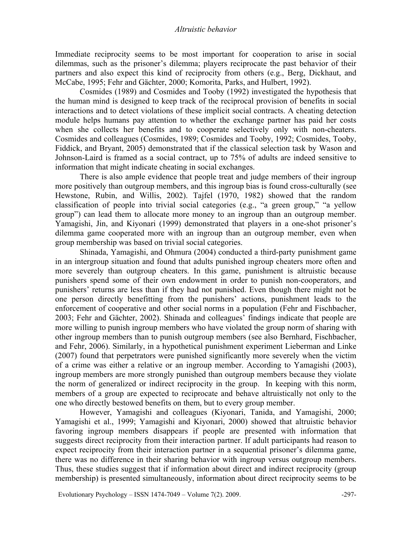Immediate reciprocity seems to be most important for cooperation to arise in social dilemmas, such as the prisoner's dilemma; players reciprocate the past behavior of their partners and also expect this kind of reciprocity from others (e.g., Berg, Dickhaut, and McCabe, 1995; Fehr and Gächter, 2000; Komorita, Parks, and Hulbert, 1992).

Cosmides (1989) and Cosmides and Tooby (1992) investigated the hypothesis that the human mind is designed to keep track of the reciprocal provision of benefits in social interactions and to detect violations of these implicit social contracts. A cheating detection module helps humans pay attention to whether the exchange partner has paid her costs when she collects her benefits and to cooperate selectively only with non-cheaters. Cosmides and colleagues (Cosmides, 1989; Cosmides and Tooby, 1992; Cosmides, Tooby, Fiddick, and Bryant, 2005) demonstrated that if the classical selection task by Wason and Johnson-Laird is framed as a social contract, up to 75% of adults are indeed sensitive to information that might indicate cheating in social exchanges.

There is also ample evidence that people treat and judge members of their ingroup more positively than outgroup members, and this ingroup bias is found cross-culturally (see Hewstone, Rubin, and Willis, 2002). Tajfel (1970, 1982) showed that the random classification of people into trivial social categories (e.g., "a green group," "a yellow group") can lead them to allocate more money to an ingroup than an outgroup member. Yamagishi, Jin, and Kiyonari (1999) demonstrated that players in a one-shot prisoner's dilemma game cooperated more with an ingroup than an outgroup member, even when group membership was based on trivial social categories.

Shinada, Yamagishi, and Ohmura (2004) conducted a third-party punishment game in an intergroup situation and found that adults punished ingroup cheaters more often and more severely than outgroup cheaters. In this game, punishment is altruistic because punishers spend some of their own endowment in order to punish non-cooperators, and punishers' returns are less than if they had not punished. Even though there might not be one person directly benefitting from the punishers' actions, punishment leads to the enforcement of cooperative and other social norms in a population (Fehr and Fischbacher, 2003; Fehr and Gächter, 2002). Shinada and colleagues' findings indicate that people are more willing to punish ingroup members who have violated the group norm of sharing with other ingroup members than to punish outgroup members (see also Bernhard, Fischbacher, and Fehr, 2006). Similarly, in a hypothetical punishment experiment Lieberman and Linke (2007) found that perpetrators were punished significantly more severely when the victim of a crime was either a relative or an ingroup member. According to Yamagishi (2003), ingroup members are more strongly punished than outgroup members because they violate the norm of generalized or indirect reciprocity in the group. In keeping with this norm, members of a group are expected to reciprocate and behave altruistically not only to the one who directly bestowed benefits on them, but to every group member.

However, Yamagishi and colleagues (Kiyonari, Tanida, and Yamagishi, 2000; Yamagishi et al., 1999; Yamagishi and Kiyonari, 2000) showed that altruistic behavior favoring ingroup members disappears if people are presented with information that suggests direct reciprocity from their interaction partner. If adult participants had reason to expect reciprocity from their interaction partner in a sequential prisoner's dilemma game, there was no difference in their sharing behavior with ingroup versus outgroup members. Thus, these studies suggest that if information about direct and indirect reciprocity (group membership) is presented simultaneously, information about direct reciprocity seems to be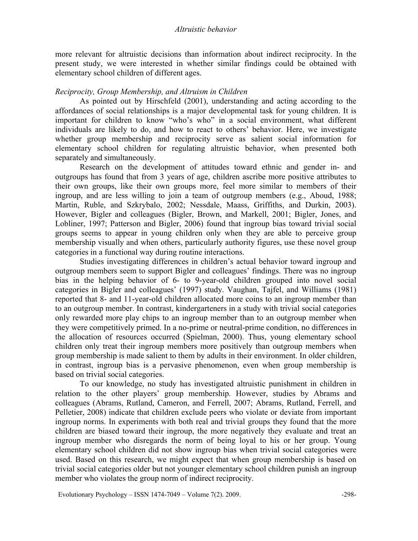more relevant for altruistic decisions than information about indirect reciprocity. In the present study, we were interested in whether similar findings could be obtained with elementary school children of different ages.

## *Reciprocity, Group Membership, and Altruism in Children*

As pointed out by Hirschfeld (2001), understanding and acting according to the affordances of social relationships is a major developmental task for young children. It is important for children to know "who's who" in a social environment, what different individuals are likely to do, and how to react to others' behavior. Here, we investigate whether group membership and reciprocity serve as salient social information for elementary school children for regulating altruistic behavior, when presented both separately and simultaneously.

Research on the development of attitudes toward ethnic and gender in- and outgroups has found that from 3 years of age, children ascribe more positive attributes to their own groups, like their own groups more, feel more similar to members of their ingroup, and are less willing to join a team of outgroup members (e.g., Aboud, 1988; Martin, Ruble, and Szkrybalo, 2002; Nessdale, Maass, Griffiths, and Durkin, 2003). However, Bigler and colleagues (Bigler, Brown, and Markell, 2001; Bigler, Jones, and Lobliner, 1997; Patterson and Bigler, 2006) found that ingroup bias toward trivial social groups seems to appear in young children only when they are able to perceive group membership visually and when others, particularly authority figures, use these novel group categories in a functional way during routine interactions.

Studies investigating differences in children's actual behavior toward ingroup and outgroup members seem to support Bigler and colleagues' findings. There was no ingroup bias in the helping behavior of 6- to 9-year-old children grouped into novel social categories in Bigler and colleagues' (1997) study. Vaughan, Tajfel, and Williams (1981) reported that 8- and 11-year-old children allocated more coins to an ingroup member than to an outgroup member. In contrast, kindergarteners in a study with trivial social categories only rewarded more play chips to an ingroup member than to an outgroup member when they were competitively primed. In a no-prime or neutral-prime condition, no differences in the allocation of resources occurred (Spielman, 2000). Thus, young elementary school children only treat their ingroup members more positively than outgroup members when group membership is made salient to them by adults in their environment. In older children, in contrast, ingroup bias is a pervasive phenomenon, even when group membership is based on trivial social categories.

To our knowledge, no study has investigated altruistic punishment in children in relation to the other players' group membership. However, studies by Abrams and colleagues (Abrams, Rutland, Cameron, and Ferrell, 2007; Abrams, Rutland, Ferrell, and Pelletier, 2008) indicate that children exclude peers who violate or deviate from important ingroup norms. In experiments with both real and trivial groups they found that the more children are biased toward their ingroup, the more negatively they evaluate and treat an ingroup member who disregards the norm of being loyal to his or her group. Young elementary school children did not show ingroup bias when trivial social categories were used. Based on this research, we might expect that when group membership is based on trivial social categories older but not younger elementary school children punish an ingroup member who violates the group norm of indirect reciprocity.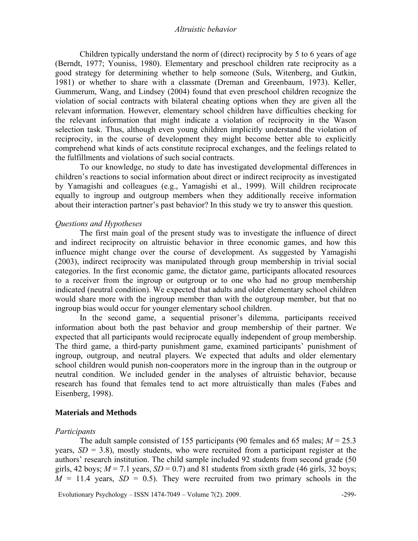Children typically understand the norm of (direct) reciprocity by 5 to 6 years of age (Berndt, 1977; Youniss, 1980). Elementary and preschool children rate reciprocity as a good strategy for determining whether to help someone (Suls, Witenberg, and Gutkin, 1981) or whether to share with a classmate (Dreman and Greenbaum, 1973). Keller, Gummerum, Wang, and Lindsey (2004) found that even preschool children recognize the violation of social contracts with bilateral cheating options when they are given all the relevant information. However, elementary school children have difficulties checking for the relevant information that might indicate a violation of reciprocity in the Wason selection task. Thus, although even young children implicitly understand the violation of reciprocity, in the course of development they might become better able to explicitly comprehend what kinds of acts constitute reciprocal exchanges, and the feelings related to the fulfillments and violations of such social contracts.

To our knowledge, no study to date has investigated developmental differences in children's reactions to social information about direct or indirect reciprocity as investigated by Yamagishi and colleagues (e.g., Yamagishi et al., 1999). Will children reciprocate equally to ingroup and outgroup members when they additionally receive information about their interaction partner's past behavior? In this study we try to answer this question.

## *Questions and Hypotheses*

The first main goal of the present study was to investigate the influence of direct and indirect reciprocity on altruistic behavior in three economic games, and how this influence might change over the course of development. As suggested by Yamagishi (2003), indirect reciprocity was manipulated through group membership in trivial social categories. In the first economic game, the dictator game, participants allocated resources to a receiver from the ingroup or outgroup or to one who had no group membership indicated (neutral condition). We expected that adults and older elementary school children would share more with the ingroup member than with the outgroup member, but that no ingroup bias would occur for younger elementary school children.

In the second game, a sequential prisoner's dilemma, participants received information about both the past behavior and group membership of their partner. We expected that all participants would reciprocate equally independent of group membership. The third game, a third-party punishment game, examined participants' punishment of ingroup, outgroup, and neutral players. We expected that adults and older elementary school children would punish non-cooperators more in the ingroup than in the outgroup or neutral condition. We included gender in the analyses of altruistic behavior, because research has found that females tend to act more altruistically than males (Fabes and Eisenberg, 1998).

#### **Materials and Methods**

#### *Participants*

The adult sample consisted of 155 participants (90 females and 65 males;  $M = 25.3$ ) years,  $SD = 3.8$ ), mostly students, who were recruited from a participant register at the authors' research institution. The child sample included 92 students from second grade (50 girls, 42 boys;  $M = 7.1$  years,  $SD = 0.7$ ) and 81 students from sixth grade (46 girls, 32 boys;  $M = 11.4$  years,  $SD = 0.5$ ). They were recruited from two primary schools in the

Evolutionary Psychology – ISSN  $1474-7049$  – Volume 7(2). 2009.  $\qquad \qquad -299-799$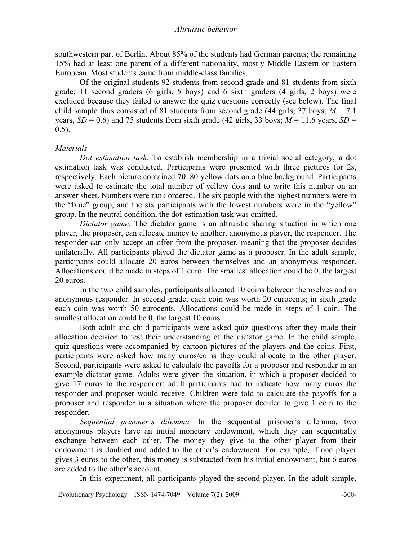southwestern part of Berlin. About 85% of the students had German parents; the remaining 15% had at least one parent of a different nationality, mostly Middle Eastern or Eastern European. Most students came from middle-class families.

Of the original students 92 students from second grade and 81 students from sixth grade, 11 second graders (6 girls, 5 boys) and 6 sixth graders (4 girls, 2 boys) were excluded because they failed to answer the quiz questions correctly (see below). The final child sample thus consisted of 81 students from second grade (44 girls, 37 boys;  $M = 7.1$ ) years,  $SD = 0.6$ ) and 75 students from sixth grade (42 girls, 33 boys;  $M = 11.6$  years,  $SD =$  $(0.5)$ .

## *Materials*

*Dot estimation task.* To establish membership in a trivial social category, a dot estimation task was conducted. Participants were presented with three pictures for 2s, respectively. Each picture contained 70–80 yellow dots on a blue background. Participants were asked to estimate the total number of yellow dots and to write this number on an answer sheet. Numbers were rank ordered. The six people with the highest numbers were in the "blue" group, and the six participants with the lowest numbers were in the "yellow" group. In the neutral condition, the dot-estimation task was omitted.

*Dictator game.* The dictator game is an altruistic sharing situation in which one player, the proposer, can allocate money to another, anonymous player, the responder. The responder can only accept an offer from the proposer, meaning that the proposer decides unilaterally. All participants played the dictator game as a proposer. In the adult sample, participants could allocate 20 euros between themselves and an anonymous responder. Allocations could be made in steps of 1 euro. The smallest allocation could be 0, the largest 20 euros.

In the two child samples, participants allocated 10 coins between themselves and an anonymous responder. In second grade, each coin was worth 20 eurocents; in sixth grade each coin was worth 50 eurocents. Allocations could be made in steps of 1 coin. The smallest allocation could be 0, the largest 10 coins.

Both adult and child participants were asked quiz questions after they made their allocation decision to test their understanding of the dictator game. In the child sample, quiz questions were accompanied by cartoon pictures of the players and the coins. First, participants were asked how many euros/coins they could allocate to the other player. Second, participants were asked to calculate the payoffs for a proposer and responder in an example dictator game. Adults were given the situation, in which a proposer decided to give 17 euros to the responder; adult participants had to indicate how many euros the responder and proposer would receive. Children were told to calculate the payoffs for a proposer and responder in a situation where the proposer decided to give 1 coin to the responder.

*Sequential prisoner's dilemma.* In the sequential prisoner's dilemma, two anonymous players have an initial monetary endowment, which they can sequentially exchange between each other. The money they give to the other player from their endowment is doubled and added to the other's endowment. For example, if one player gives 3 euros to the other, this money is subtracted from his initial endowment, but 6 euros are added to the other's account.

In this experiment, all participants played the second player. In the adult sample,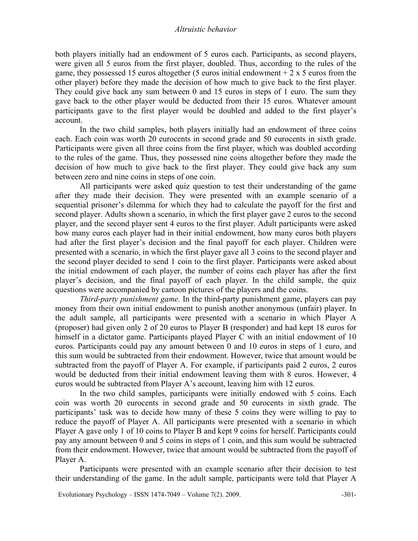both players initially had an endowment of 5 euros each. Participants, as second players, were given all 5 euros from the first player, doubled. Thus, according to the rules of the game, they possessed 15 euros altogether (5 euros initial endowment  $+ 2 \times 5$  euros from the other player) before they made the decision of how much to give back to the first player. They could give back any sum between 0 and 15 euros in steps of 1 euro. The sum they gave back to the other player would be deducted from their 15 euros. Whatever amount participants gave to the first player would be doubled and added to the first player's account.

In the two child samples, both players initially had an endowment of three coins each. Each coin was worth 20 eurocents in second grade and 50 eurocents in sixth grade. Participants were given all three coins from the first player, which was doubled according to the rules of the game. Thus, they possessed nine coins altogether before they made the decision of how much to give back to the first player. They could give back any sum between zero and nine coins in steps of one coin.

All participants were asked quiz question to test their understanding of the game after they made their decision. They were presented with an example scenario of a sequential prisoner's dilemma for which they had to calculate the payoff for the first and second player. Adults shown a scenario, in which the first player gave 2 euros to the second player, and the second player sent 4 euros to the first player. Adult participants were asked how many euros each player had in their initial endowment, how many euros both players had after the first player's decision and the final payoff for each player. Children were presented with a scenario, in which the first player gave all 3 coins to the second player and the second player decided to send 1 coin to the first player. Participants were asked about the initial endowment of each player, the number of coins each player has after the first player's decision, and the final payoff of each player. In the child sample, the quiz questions were accompanied by cartoon pictures of the players and the coins.

*Third-party punishment game.* In the third-party punishment game, players can pay money from their own initial endowment to punish another anonymous (unfair) player. In the adult sample, all participants were presented with a scenario in which Player A (proposer) had given only 2 of 20 euros to Player B (responder) and had kept 18 euros for himself in a dictator game. Participants played Player C with an initial endowment of 10 euros. Participants could pay any amount between 0 and 10 euros in steps of 1 euro, and this sum would be subtracted from their endowment. However, twice that amount would be subtracted from the payoff of Player A. For example, if participants paid 2 euros, 2 euros would be deducted from their initial endowment leaving them with 8 euros. However, 4 euros would be subtracted from Player A's account, leaving him with 12 euros.

In the two child samples, participants were initially endowed with 5 coins. Each coin was worth 20 eurocents in second grade and 50 eurocents in sixth grade. The participants' task was to decide how many of these 5 coins they were willing to pay to reduce the payoff of Player A. All participants were presented with a scenario in which Player A gave only 1 of 10 coins to Player B and kept 9 coins for herself. Participants could pay any amount between 0 and 5 coins in steps of 1 coin, and this sum would be subtracted from their endowment. However, twice that amount would be subtracted from the payoff of Player A.

Participants were presented with an example scenario after their decision to test their understanding of the game. In the adult sample, participants were told that Player A

Evolutionary Psychology – ISSN  $1474-7049$  – Volume 7(2). 2009.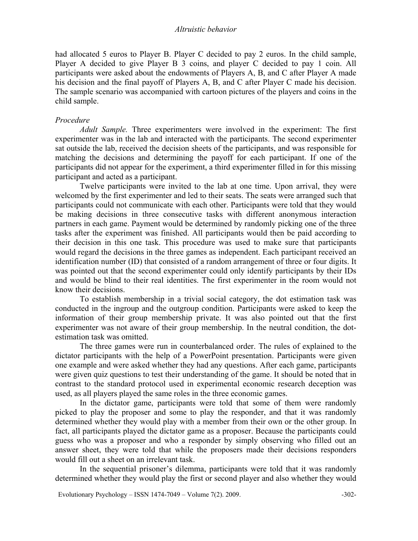had allocated 5 euros to Player B. Player C decided to pay 2 euros. In the child sample, Player A decided to give Player B 3 coins, and player C decided to pay 1 coin. All participants were asked about the endowments of Players A, B, and C after Player A made his decision and the final payoff of Players A, B, and C after Player C made his decision. The sample scenario was accompanied with cartoon pictures of the players and coins in the child sample.

### *Procedure*

*Adult Sample.* Three experimenters were involved in the experiment: The first experimenter was in the lab and interacted with the participants. The second experimenter sat outside the lab, received the decision sheets of the participants, and was responsible for matching the decisions and determining the payoff for each participant. If one of the participants did not appear for the experiment, a third experimenter filled in for this missing participant and acted as a participant.

Twelve participants were invited to the lab at one time. Upon arrival, they were welcomed by the first experimenter and led to their seats. The seats were arranged such that participants could not communicate with each other. Participants were told that they would be making decisions in three consecutive tasks with different anonymous interaction partners in each game. Payment would be determined by randomly picking one of the three tasks after the experiment was finished. All participants would then be paid according to their decision in this one task. This procedure was used to make sure that participants would regard the decisions in the three games as independent. Each participant received an identification number (ID) that consisted of a random arrangement of three or four digits. It was pointed out that the second experimenter could only identify participants by their IDs and would be blind to their real identities. The first experimenter in the room would not know their decisions.

To establish membership in a trivial social category, the dot estimation task was conducted in the ingroup and the outgroup condition. Participants were asked to keep the information of their group membership private. It was also pointed out that the first experimenter was not aware of their group membership. In the neutral condition, the dotestimation task was omitted.

The three games were run in counterbalanced order. The rules of explained to the dictator participants with the help of a PowerPoint presentation. Participants were given one example and were asked whether they had any questions. After each game, participants were given quiz questions to test their understanding of the game. It should be noted that in contrast to the standard protocol used in experimental economic research deception was used, as all players played the same roles in the three economic games.

In the dictator game, participants were told that some of them were randomly picked to play the proposer and some to play the responder, and that it was randomly determined whether they would play with a member from their own or the other group. In fact, all participants played the dictator game as a proposer. Because the participants could guess who was a proposer and who a responder by simply observing who filled out an answer sheet, they were told that while the proposers made their decisions responders would fill out a sheet on an irrelevant task.

In the sequential prisoner's dilemma, participants were told that it was randomly determined whether they would play the first or second player and also whether they would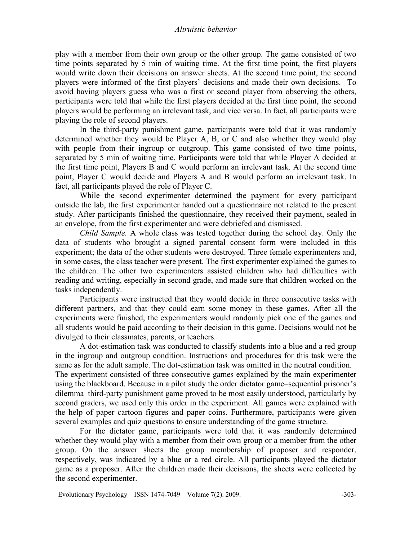play with a member from their own group or the other group. The game consisted of two time points separated by 5 min of waiting time. At the first time point, the first players would write down their decisions on answer sheets. At the second time point, the second players were informed of the first players' decisions and made their own decisions. To avoid having players guess who was a first or second player from observing the others, participants were told that while the first players decided at the first time point, the second players would be performing an irrelevant task, and vice versa. In fact, all participants were playing the role of second players.

In the third-party punishment game, participants were told that it was randomly determined whether they would be Player A, B, or C and also whether they would play with people from their ingroup or outgroup. This game consisted of two time points, separated by 5 min of waiting time. Participants were told that while Player A decided at the first time point, Players B and C would perform an irrelevant task. At the second time point, Player C would decide and Players A and B would perform an irrelevant task. In fact, all participants played the role of Player C.

While the second experimenter determined the payment for every participant outside the lab, the first experimenter handed out a questionnaire not related to the present study. After participants finished the questionnaire, they received their payment, sealed in an envelope, from the first experimenter and were debriefed and dismissed.

*Child Sample.* A whole class was tested together during the school day. Only the data of students who brought a signed parental consent form were included in this experiment; the data of the other students were destroyed. Three female experimenters and, in some cases, the class teacher were present. The first experimenter explained the games to the children. The other two experimenters assisted children who had difficulties with reading and writing, especially in second grade, and made sure that children worked on the tasks independently.

Participants were instructed that they would decide in three consecutive tasks with different partners, and that they could earn some money in these games. After all the experiments were finished, the experimenters would randomly pick one of the games and all students would be paid according to their decision in this game. Decisions would not be divulged to their classmates, parents, or teachers.

A dot-estimation task was conducted to classify students into a blue and a red group in the ingroup and outgroup condition. Instructions and procedures for this task were the same as for the adult sample. The dot-estimation task was omitted in the neutral condition. The experiment consisted of three consecutive games explained by the main experimenter using the blackboard. Because in a pilot study the order dictator game–sequential prisoner's dilemma–third-party punishment game proved to be most easily understood, particularly by second graders, we used only this order in the experiment. All games were explained with the help of paper cartoon figures and paper coins. Furthermore, participants were given several examples and quiz questions to ensure understanding of the game structure.

For the dictator game, participants were told that it was randomly determined whether they would play with a member from their own group or a member from the other group. On the answer sheets the group membership of proposer and responder, respectively, was indicated by a blue or a red circle. All participants played the dictator game as a proposer. After the children made their decisions, the sheets were collected by the second experimenter.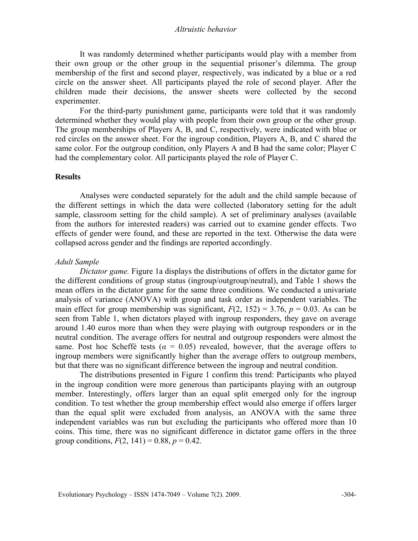It was randomly determined whether participants would play with a member from their own group or the other group in the sequential prisoner's dilemma. The group membership of the first and second player, respectively, was indicated by a blue or a red circle on the answer sheet. All participants played the role of second player. After the children made their decisions, the answer sheets were collected by the second experimenter.

For the third-party punishment game, participants were told that it was randomly determined whether they would play with people from their own group or the other group. The group memberships of Players A, B, and C, respectively, were indicated with blue or red circles on the answer sheet. For the ingroup condition, Players A, B, and C shared the same color. For the outgroup condition, only Players A and B had the same color; Player C had the complementary color. All participants played the role of Player C.

## **Results**

Analyses were conducted separately for the adult and the child sample because of the different settings in which the data were collected (laboratory setting for the adult sample, classroom setting for the child sample). A set of preliminary analyses (available from the authors for interested readers) was carried out to examine gender effects. Two effects of gender were found, and these are reported in the text. Otherwise the data were collapsed across gender and the findings are reported accordingly.

#### *Adult Sample*

*Dictator game.* Figure 1a displays the distributions of offers in the dictator game for the different conditions of group status (ingroup/outgroup/neutral), and Table 1 shows the mean offers in the dictator game for the same three conditions. We conducted a univariate analysis of variance (ANOVA) with group and task order as independent variables. The main effect for group membership was significant,  $F(2, 152) = 3.76$ ,  $p = 0.03$ . As can be seen from Table 1, when dictators played with ingroup responders, they gave on average around 1.40 euros more than when they were playing with outgroup responders or in the neutral condition. The average offers for neutral and outgroup responders were almost the same. Post hoc Scheffé tests ( $\alpha = 0.05$ ) revealed, however, that the average offers to ingroup members were significantly higher than the average offers to outgroup members, but that there was no significant difference between the ingroup and neutral condition.

The distributions presented in Figure 1 confirm this trend: Participants who played in the ingroup condition were more generous than participants playing with an outgroup member. Interestingly, offers larger than an equal split emerged only for the ingroup condition. To test whether the group membership effect would also emerge if offers larger than the equal split were excluded from analysis, an ANOVA with the same three independent variables was run but excluding the participants who offered more than 10 coins. This time, there was no significant difference in dictator game offers in the three group conditions,  $F(2, 141) = 0.88$ ,  $p = 0.42$ .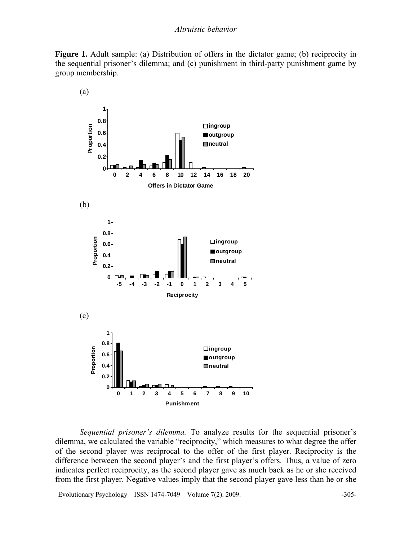**Figure 1.** Adult sample: (a) Distribution of offers in the dictator game; (b) reciprocity in the sequential prisoner's dilemma; and (c) punishment in third-party punishment game by group membership.



*Sequential prisoner's dilemma.* To analyze results for the sequential prisoner's dilemma, we calculated the variable "reciprocity," which measures to what degree the offer of the second player was reciprocal to the offer of the first player. Reciprocity is the difference between the second player's and the first player's offers. Thus, a value of zero indicates perfect reciprocity, as the second player gave as much back as he or she received from the first player. Negative values imply that the second player gave less than he or she

Evolutionary Psychology – ISSN 1474-7049 – Volume 7(2). 2009. -305-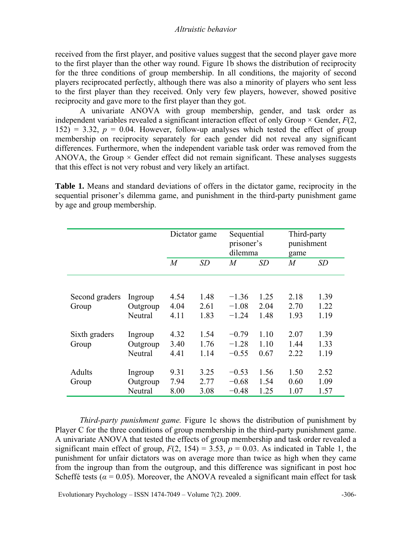received from the first player, and positive values suggest that the second player gave more to the first player than the other way round. Figure 1b shows the distribution of reciprocity for the three conditions of group membership. In all conditions, the majority of second players reciprocated perfectly, although there was also a minority of players who sent less to the first player than they received. Only very few players, however, showed positive reciprocity and gave more to the first player than they got.

A univariate ANOVA with group membership, gender, and task order as independent variables revealed a significant interaction effect of only Group  $\times$  Gender,  $F(2, \theta)$  $152$ ) = 3.32,  $p = 0.04$ . However, follow-up analyses which tested the effect of group membership on reciprocity separately for each gender did not reveal any significant differences. Furthermore, when the independent variable task order was removed from the ANOVA, the Group  $\times$  Gender effect did not remain significant. These analyses suggests that this effect is not very robust and very likely an artifact.

**Table 1.** Means and standard deviations of offers in the dictator game, reciprocity in the sequential prisoner's dilemma game, and punishment in the third-party punishment game by age and group membership.

|                |          | Dictator game |      | Sequential<br>prisoner's<br>dilemma |      | Third-party<br>punishment<br>game |      |
|----------------|----------|---------------|------|-------------------------------------|------|-----------------------------------|------|
|                |          | M             | SD   | M                                   | SD   | M                                 | SD   |
|                |          |               |      |                                     |      |                                   |      |
| Second graders | Ingroup  | 4.54          | 1.48 | $-1.36$                             | 1.25 | 2.18                              | 1.39 |
| Group          | Outgroup | 4.04          | 2.61 | $-1.08$                             | 2.04 | 2.70                              | 1.22 |
|                | Neutral  | 4.11          | 1.83 | $-1.24$                             | 1.48 | 1.93                              | 1.19 |
| Sixth graders  | Ingroup  | 4.32          | 1.54 | $-0.79$                             | 1.10 | 2.07                              | 1.39 |
| Group          | Outgroup | 3.40          | 1.76 | $-1.28$                             | 1.10 | 1.44                              | 1.33 |
|                | Neutral  | 4.41          | 1.14 | $-0.55$                             | 0.67 | 2.22                              | 1.19 |
| Adults         | Ingroup  | 9.31          | 3.25 | $-0.53$                             | 1.56 | 1.50                              | 2.52 |
| Group          | Outgroup | 7.94          | 2.77 | $-0.68$                             | 1.54 | 0.60                              | 1.09 |
|                | Neutral  | 8.00          | 3.08 | $-0.48$                             | 1.25 | 1.07                              | 1.57 |

*Third-party punishment game.* Figure 1c shows the distribution of punishment by Player C for the three conditions of group membership in the third-party punishment game. A univariate ANOVA that tested the effects of group membership and task order revealed a significant main effect of group,  $F(2, 154) = 3.53$ ,  $p = 0.03$ . As indicated in Table 1, the punishment for unfair dictators was on average more than twice as high when they came from the ingroup than from the outgroup, and this difference was significant in post hoc Scheffé tests ( $\alpha$  = 0.05). Moreover, the ANOVA revealed a significant main effect for task

Evolutionary Psychology – ISSN 1474-7049 – Volume 7(2). 2009. -306-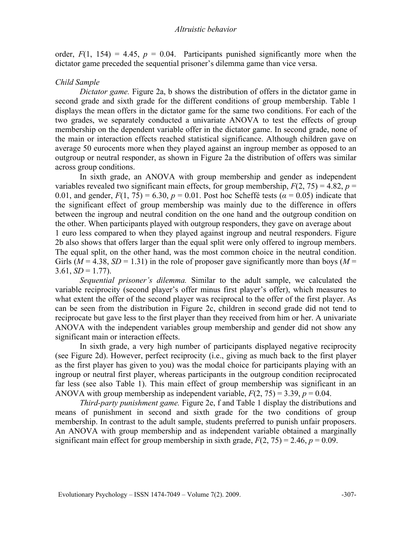order,  $F(1, 154) = 4.45$ ,  $p = 0.04$ . Participants punished significantly more when the dictator game preceded the sequential prisoner's dilemma game than vice versa.

## *Child Sample*

*Dictator game.* Figure 2a, b shows the distribution of offers in the dictator game in second grade and sixth grade for the different conditions of group membership. Table 1 displays the mean offers in the dictator game for the same two conditions. For each of the two grades, we separately conducted a univariate ANOVA to test the effects of group membership on the dependent variable offer in the dictator game. In second grade, none of the main or interaction effects reached statistical significance. Although children gave on average 50 eurocents more when they played against an ingroup member as opposed to an outgroup or neutral responder, as shown in Figure 2a the distribution of offers was similar across group conditions.

In sixth grade, an ANOVA with group membership and gender as independent variables revealed two significant main effects, for group membership,  $F(2, 75) = 4.82$ ,  $p =$ 0.01, and gender,  $F(1, 75) = 6.30$ ,  $p = 0.01$ . Post hoc Scheffé tests ( $\alpha = 0.05$ ) indicate that the significant effect of group membership was mainly due to the difference in offers between the ingroup and neutral condition on the one hand and the outgroup condition on the other. When participants played with outgroup responders, they gave on average about 1 euro less compared to when they played against ingroup and neutral responders. Figure 2b also shows that offers larger than the equal split were only offered to ingroup members. The equal split, on the other hand, was the most common choice in the neutral condition. Girls ( $M = 4.38$ ,  $SD = 1.31$ ) in the role of proposer gave significantly more than boys ( $M =$  $3.61, SD = 1.77$ .

*Sequential prisoner's dilemma.* Similar to the adult sample, we calculated the variable reciprocity (second player's offer minus first player's offer), which measures to what extent the offer of the second player was reciprocal to the offer of the first player. As can be seen from the distribution in Figure 2c, children in second grade did not tend to reciprocate but gave less to the first player than they received from him or her. A univariate ANOVA with the independent variables group membership and gender did not show any significant main or interaction effects.

In sixth grade, a very high number of participants displayed negative reciprocity (see Figure 2d). However, perfect reciprocity (i.e., giving as much back to the first player as the first player has given to you) was the modal choice for participants playing with an ingroup or neutral first player, whereas participants in the outgroup condition reciprocated far less (see also Table 1). This main effect of group membership was significant in an ANOVA with group membership as independent variable,  $F(2, 75) = 3.39$ ,  $p = 0.04$ .

*Third-party punishment game.* Figure 2e, f and Table 1 display the distributions and means of punishment in second and sixth grade for the two conditions of group membership. In contrast to the adult sample, students preferred to punish unfair proposers. An ANOVA with group membership and as independent variable obtained a marginally significant main effect for group membership in sixth grade,  $F(2, 75) = 2.46$ ,  $p = 0.09$ .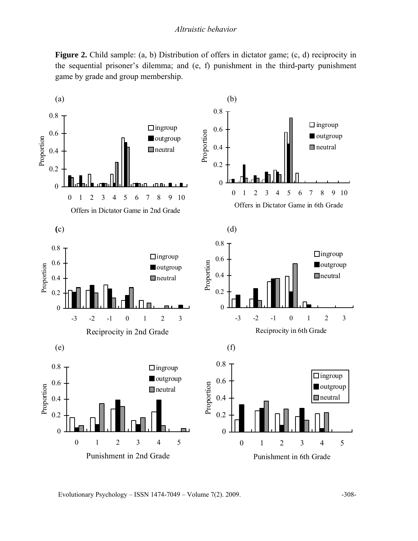**Figure 2.** Child sample: (a, b) Distribution of offers in dictator game; (c, d) reciprocity in the sequential prisoner's dilemma; and (e, f) punishment in the third-party punishment game by grade and group membership.



Evolutionary Psychology – ISSN 1474-7049 – Volume 7(2). 2009. -308-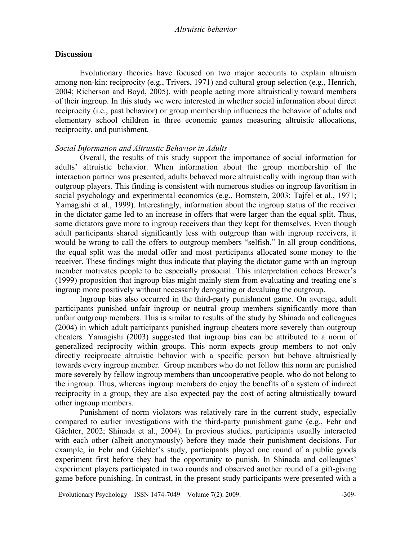## **Discussion**

Evolutionary theories have focused on two major accounts to explain altruism among non-kin: reciprocity (e.g., Trivers, 1971) and cultural group selection (e.g., Henrich, 2004; Richerson and Boyd, 2005), with people acting more altruistically toward members of their ingroup. In this study we were interested in whether social information about direct reciprocity (i.e., past behavior) or group membership influences the behavior of adults and elementary school children in three economic games measuring altruistic allocations, reciprocity, and punishment.

## *Social Information and Altruistic Behavior in Adults*

Overall, the results of this study support the importance of social information for adults' altruistic behavior. When information about the group membership of the interaction partner was presented, adults behaved more altruistically with ingroup than with outgroup players. This finding is consistent with numerous studies on ingroup favoritism in social psychology and experimental economics (e.g., Bornstein, 2003; Tajfel et al., 1971; Yamagishi et al., 1999). Interestingly, information about the ingroup status of the receiver in the dictator game led to an increase in offers that were larger than the equal split. Thus, some dictators gave more to ingroup receivers than they kept for themselves. Even though adult participants shared significantly less with outgroup than with ingroup receivers, it would be wrong to call the offers to outgroup members "selfish." In all group conditions, the equal split was the modal offer and most participants allocated some money to the receiver. These findings might thus indicate that playing the dictator game with an ingroup member motivates people to be especially prosocial. This interpretation echoes Brewer's (1999) proposition that ingroup bias might mainly stem from evaluating and treating one's ingroup more positively without necessarily derogating or devaluing the outgroup.

Ingroup bias also occurred in the third-party punishment game. On average, adult participants punished unfair ingroup or neutral group members significantly more than unfair outgroup members. This is similar to results of the study by Shinada and colleagues (2004) in which adult participants punished ingroup cheaters more severely than outgroup cheaters. Yamagishi (2003) suggested that ingroup bias can be attributed to a norm of generalized reciprocity within groups. This norm expects group members to not only directly reciprocate altruistic behavior with a specific person but behave altruistically towards every ingroup member. Group members who do not follow this norm are punished more severely by fellow ingroup members than uncooperative people, who do not belong to the ingroup. Thus, whereas ingroup members do enjoy the benefits of a system of indirect reciprocity in a group, they are also expected pay the cost of acting altruistically toward other ingroup members.

Punishment of norm violators was relatively rare in the current study, especially compared to earlier investigations with the third-party punishment game (e.g., Fehr and Gächter, 2002; Shinada et al., 2004). In previous studies, participants usually interacted with each other (albeit anonymously) before they made their punishment decisions. For example, in Fehr and Gächter's study, participants played one round of a public goods experiment first before they had the opportunity to punish. In Shinada and colleagues' experiment players participated in two rounds and observed another round of a gift-giving game before punishing. In contrast, in the present study participants were presented with a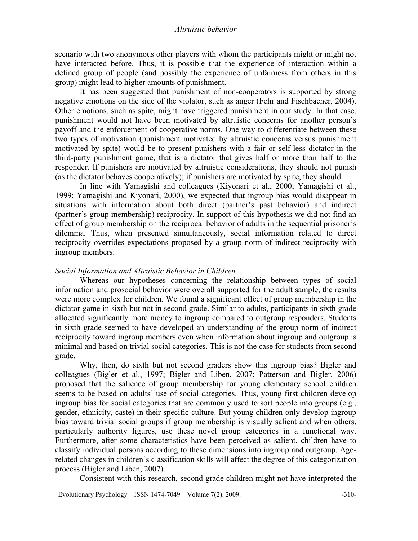scenario with two anonymous other players with whom the participants might or might not have interacted before. Thus, it is possible that the experience of interaction within a defined group of people (and possibly the experience of unfairness from others in this group) might lead to higher amounts of punishment.

It has been suggested that punishment of non-cooperators is supported by strong negative emotions on the side of the violator, such as anger (Fehr and Fischbacher, 2004). Other emotions, such as spite, might have triggered punishment in our study. In that case, punishment would not have been motivated by altruistic concerns for another person's payoff and the enforcement of cooperative norms. One way to differentiate between these two types of motivation (punishment motivated by altruistic concerns versus punishment motivated by spite) would be to present punishers with a fair or self-less dictator in the third-party punishment game, that is a dictator that gives half or more than half to the responder. If punishers are motivated by altruistic considerations, they should not punish (as the dictator behaves cooperatively); if punishers are motivated by spite, they should.

In line with Yamagishi and colleagues (Kiyonari et al., 2000; Yamagishi et al., 1999; Yamagishi and Kiyonari, 2000), we expected that ingroup bias would disappear in situations with information about both direct (partner's past behavior) and indirect (partner's group membership) reciprocity. In support of this hypothesis we did not find an effect of group membership on the reciprocal behavior of adults in the sequential prisoner's dilemma. Thus, when presented simultaneously, social information related to direct reciprocity overrides expectations proposed by a group norm of indirect reciprocity with ingroup members.

## *Social Information and Altruistic Behavior in Children*

Whereas our hypotheses concerning the relationship between types of social information and prosocial behavior were overall supported for the adult sample, the results were more complex for children. We found a significant effect of group membership in the dictator game in sixth but not in second grade. Similar to adults, participants in sixth grade allocated significantly more money to ingroup compared to outgroup responders. Students in sixth grade seemed to have developed an understanding of the group norm of indirect reciprocity toward ingroup members even when information about ingroup and outgroup is minimal and based on trivial social categories. This is not the case for students from second grade.

Why, then, do sixth but not second graders show this ingroup bias? Bigler and colleagues (Bigler et al., 1997; Bigler and Liben, 2007; Patterson and Bigler, 2006) proposed that the salience of group membership for young elementary school children seems to be based on adults' use of social categories. Thus, young first children develop ingroup bias for social categories that are commonly used to sort people into groups (e.g., gender, ethnicity, caste) in their specific culture. But young children only develop ingroup bias toward trivial social groups if group membership is visually salient and when others, particularly authority figures, use these novel group categories in a functional way. Furthermore, after some characteristics have been perceived as salient, children have to classify individual persons according to these dimensions into ingroup and outgroup. Agerelated changes in children's classification skills will affect the degree of this categorization process (Bigler and Liben, 2007).

Consistent with this research, second grade children might not have interpreted the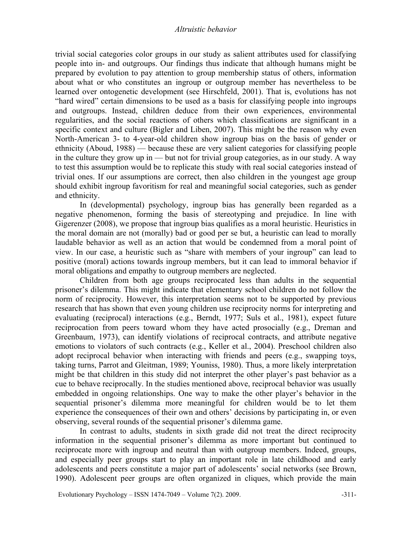trivial social categories color groups in our study as salient attributes used for classifying people into in- and outgroups. Our findings thus indicate that although humans might be prepared by evolution to pay attention to group membership status of others, information about what or who constitutes an ingroup or outgroup member has nevertheless to be learned over ontogenetic development (see Hirschfeld, 2001). That is, evolutions has not "hard wired" certain dimensions to be used as a basis for classifying people into ingroups and outgroups. Instead, children deduce from their own experiences, environmental regularities, and the social reactions of others which classifications are significant in a specific context and culture (Bigler and Liben, 2007). This might be the reason why even North-American 3- to 4-year-old children show ingroup bias on the basis of gender or ethnicity (Aboud, 1988) — because these are very salient categories for classifying people in the culture they grow up in — but not for trivial group categories, as in our study. A way to test this assumption would be to replicate this study with real social categories instead of trivial ones. If our assumptions are correct, then also children in the youngest age group should exhibit ingroup favoritism for real and meaningful social categories, such as gender and ethnicity.

In (developmental) psychology, ingroup bias has generally been regarded as a negative phenomenon, forming the basis of stereotyping and prejudice. In line with Gigerenzer (2008), we propose that ingroup bias qualifies as a moral heuristic. Heuristics in the moral domain are not (morally) bad or good per se but, a heuristic can lead to morally laudable behavior as well as an action that would be condemned from a moral point of view. In our case, a heuristic such as "share with members of your ingroup" can lead to positive (moral) actions towards ingroup members, but it can lead to immoral behavior if moral obligations and empathy to outgroup members are neglected.

Children from both age groups reciprocated less than adults in the sequential prisoner's dilemma. This might indicate that elementary school children do not follow the norm of reciprocity. However, this interpretation seems not to be supported by previous research that has shown that even young children use reciprocity norms for interpreting and evaluating (reciprocal) interactions (e.g., Berndt, 1977; Suls et al., 1981), expect future reciprocation from peers toward whom they have acted prosocially (e.g., Dreman and Greenbaum, 1973), can identify violations of reciprocal contracts, and attribute negative emotions to violators of such contracts (e.g., Keller et al., 2004). Preschool children also adopt reciprocal behavior when interacting with friends and peers (e.g., swapping toys, taking turns, Parrot and Gleitman, 1989; Youniss, 1980). Thus, a more likely interpretation might be that children in this study did not interpret the other player's past behavior as a cue to behave reciprocally. In the studies mentioned above, reciprocal behavior was usually embedded in ongoing relationships. One way to make the other player's behavior in the sequential prisoner's dilemma more meaningful for children would be to let them experience the consequences of their own and others' decisions by participating in, or even observing, several rounds of the sequential prisoner's dilemma game.

In contrast to adults, students in sixth grade did not treat the direct reciprocity information in the sequential prisoner's dilemma as more important but continued to reciprocate more with ingroup and neutral than with outgroup members. Indeed, groups, and especially peer groups start to play an important role in late childhood and early adolescents and peers constitute a major part of adolescents' social networks (see Brown, 1990). Adolescent peer groups are often organized in cliques, which provide the main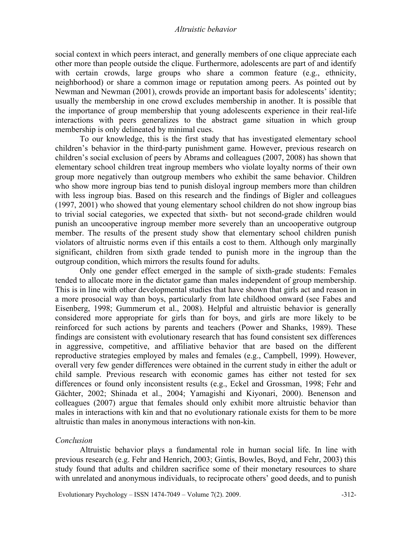social context in which peers interact, and generally members of one clique appreciate each other more than people outside the clique. Furthermore, adolescents are part of and identify with certain crowds, large groups who share a common feature (e.g., ethnicity, neighborhood) or share a common image or reputation among peers. As pointed out by Newman and Newman (2001), crowds provide an important basis for adolescents' identity; usually the membership in one crowd excludes membership in another. It is possible that the importance of group membership that young adolescents experience in their real-life interactions with peers generalizes to the abstract game situation in which group membership is only delineated by minimal cues.

To our knowledge, this is the first study that has investigated elementary school children's behavior in the third-party punishment game. However, previous research on children's social exclusion of peers by Abrams and colleagues (2007, 2008) has shown that elementary school children treat ingroup members who violate loyalty norms of their own group more negatively than outgroup members who exhibit the same behavior. Children who show more ingroup bias tend to punish disloyal ingroup members more than children with less ingroup bias. Based on this research and the findings of Bigler and colleagues (1997, 2001) who showed that young elementary school children do not show ingroup bias to trivial social categories, we expected that sixth- but not second-grade children would punish an uncooperative ingroup member more severely than an uncooperative outgroup member. The results of the present study show that elementary school children punish violators of altruistic norms even if this entails a cost to them. Although only marginally significant, children from sixth grade tended to punish more in the ingroup than the outgroup condition, which mirrors the results found for adults.

Only one gender effect emerged in the sample of sixth-grade students: Females tended to allocate more in the dictator game than males independent of group membership. This is in line with other developmental studies that have shown that girls act and reason in a more prosocial way than boys, particularly from late childhood onward (see Fabes and Eisenberg, 1998; Gummerum et al., 2008). Helpful and altruistic behavior is generally considered more appropriate for girls than for boys, and girls are more likely to be reinforced for such actions by parents and teachers (Power and Shanks, 1989). These findings are consistent with evolutionary research that has found consistent sex differences in aggressive, competitive, and affiliative behavior that are based on the different reproductive strategies employed by males and females (e.g., Campbell, 1999). However, overall very few gender differences were obtained in the current study in either the adult or child sample. Previous research with economic games has either not tested for sex differences or found only inconsistent results (e.g., Eckel and Grossman, 1998; Fehr and Gächter, 2002; Shinada et al., 2004; Yamagishi and Kiyonari, 2000). Benenson and colleagues (2007) argue that females should only exhibit more altruistic behavior than males in interactions with kin and that no evolutionary rationale exists for them to be more altruistic than males in anonymous interactions with non-kin.

## *Conclusion*

Altruistic behavior plays a fundamental role in human social life. In line with previous research (e.g. Fehr and Henrich, 2003; Gintis, Bowles, Boyd, and Fehr, 2003) this study found that adults and children sacrifice some of their monetary resources to share with unrelated and anonymous individuals, to reciprocate others' good deeds, and to punish

Evolutionary Psychology – ISSN  $1474-7049$  – Volume 7(2). 2009.  $-312-$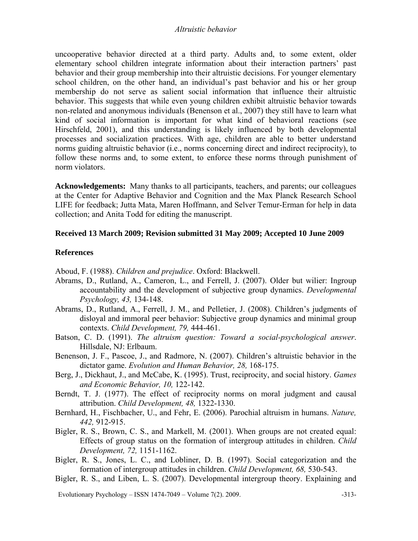uncooperative behavior directed at a third party. Adults and, to some extent, older elementary school children integrate information about their interaction partners' past behavior and their group membership into their altruistic decisions. For younger elementary school children, on the other hand, an individual's past behavior and his or her group membership do not serve as salient social information that influence their altruistic behavior. This suggests that while even young children exhibit altruistic behavior towards non-related and anonymous individuals (Benenson et al., 2007) they still have to learn what kind of social information is important for what kind of behavioral reactions (see Hirschfeld, 2001), and this understanding is likely influenced by both developmental processes and socialization practices. With age, children are able to better understand norms guiding altruistic behavior (i.e., norms concerning direct and indirect reciprocity), to follow these norms and, to some extent, to enforce these norms through punishment of norm violators.

**Acknowledgements:** Many thanks to all participants, teachers, and parents; our colleagues at the Center for Adaptive Behavior and Cognition and the Max Planck Research School LIFE for feedback; Jutta Mata, Maren Hoffmann, and Selver Temur-Erman for help in data collection; and Anita Todd for editing the manuscript.

## **Received 13 March 2009; Revision submitted 31 May 2009; Accepted 10 June 2009**

## **References**

Aboud, F. (1988). *Children and prejudice*. Oxford: Blackwell.

- Abrams, D., Rutland, A., Cameron, L., and Ferrell, J. (2007). Older but wilier: Ingroup accountability and the development of subjective group dynamics. *Developmental Psychology, 43,* 134-148.
- Abrams, D., Rutland, A., Ferrell, J. M., and Pelletier, J. (2008). Children's judgments of disloyal and immoral peer behavior: Subjective group dynamics and minimal group contexts. *Child Development, 79,* 444-461.
- Batson, C. D. (1991). *The altruism question: Toward a social-psychological answer*. Hillsdale, NJ: Erlbaum.
- Benenson, J. F., Pascoe, J., and Radmore, N. (2007). Children's altruistic behavior in the dictator game. *Evolution and Human Behavior, 28,* 168-175.
- Berg, J., Dickhaut, J., and McCabe, K. (1995). Trust, reciprocity, and social history. *Games and Economic Behavior, 10,* 122-142.
- Berndt, T. J. (1977). The effect of reciprocity norms on moral judgment and causal attribution. *Child Development, 48,* 1322-1330.
- Bernhard, H., Fischbacher, U., and Fehr, E. (2006). Parochial altruism in humans. *Nature, 442,* 912-915.
- Bigler, R. S., Brown, C. S., and Markell, M. (2001). When groups are not created equal: Effects of group status on the formation of intergroup attitudes in children. *Child Development, 72,* 1151-1162.
- Bigler, R. S., Jones, L. C., and Lobliner, D. B. (1997). Social categorization and the formation of intergroup attitudes in children. *Child Development, 68,* 530-543.
- Bigler, R. S., and Liben, L. S. (2007). Developmental intergroup theory. Explaining and

Evolutionary Psychology – ISSN  $1474-7049$  – Volume 7(2). 2009.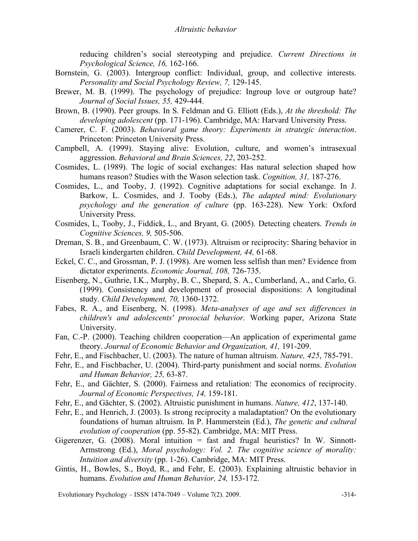reducing children's social stereotyping and prejudice. *Current Directions in Psychological Science, 16,* 162-166.

- Bornstein, G. (2003). Intergroup conflict: Individual, group, and collective interests. *Personality and Social Psychology Review, 7,* 129-145.
- Brewer, M. B. (1999). The psychology of prejudice: Ingroup love or outgroup hate? *Journal of Social Issues, 55,* 429-444.
- Brown, B. (1990). Peer groups. In S. Feldman and G. Elliott (Eds.), *At the threshold: The developing adolescent* (pp. 171-196). Cambridge, MA: Harvard University Press.
- Camerer, C. F. (2003). *Behavioral game theory: Experiments in strategic interaction*. Princeton: Princeton University Press.
- Campbell, A. (1999). Staying alive: Evolution, culture, and women's intrasexual aggression. *Behavioral and Brain Sciences, 22*, 203-252.
- Cosmides, L. (1989). The logic of social exchanges: Has natural selection shaped how humans reason? Studies with the Wason selection task. *Cognition, 31,* 187-276.
- Cosmides, L., and Tooby, J. (1992). Cognitive adaptations for social exchange. In J. Barkow, L. Cosmides, and J. Tooby (Eds.), *The adapted mind: Evolutionary psychology and the generation of culture* (pp. 163-228). New York: Oxford University Press.
- Cosmides, L, Tooby, J., Fiddick, L., and Bryant, G. (2005). [Detecting cheaters.](http://www.psych.ucsb.edu/research/cep/papers/Detect_cheat.pdf) *Trends in Cognitive Sciences, 9,* 505-506.
- Dreman, S. B., and Greenbaum, C. W. (1973). Altruism or reciprocity: Sharing behavior in Israeli kindergarten children. *Child Development, 44,* 61-68.
- Eckel, C. C., and Grossman, P. J. (1998). Are women less selfish than men? Evidence from dictator experiments. *Economic Journal, 108,* 726-735.
- Eisenberg, N., Guthrie, I.K., Murphy, B. C., Shepard, S. A., Cumberland, A., and Carlo, G. (1999). Consistency and development of prosocial dispositions: A longitudinal study. *Child Development, 70,* 1360-1372.
- Fabes, R. A., and Eisenberg, N. (1998). *Meta-analyses of age and sex differences in children's and adolescents' prosocial behavior.* Working paper, Arizona State University.
- Fan, C.-P. (2000). Teaching children cooperation—An application of experimental game theory. *Journal of Economic Behavior and Organization, 41,* 191-209.
- Fehr, E., and Fischbacher, U. (2003). The nature of human altruism. *Nature, 425*, 785-791.
- Fehr, E., and Fischbacher, U. (2004). Third-party punishment and social norms. *Evolution and Human Behavior, 25,* 63-87.
- Fehr, E., and Gächter, S. (2000). Fairness and retaliation: The economics of reciprocity. *Journal of Economic Perspectives, 14,* 159-181.
- Fehr, E., and Gächter, S. (2002). Altruistic punishment in humans. *Nature, 412*, 137-140.
- Fehr, E., and Henrich, J. (2003). Is strong reciprocity a maladaptation? On the evolutionary foundations of human altruism. In P. Hammerstein (Ed.), *The genetic and cultural evolution of cooperation* (pp. 55-82). Cambridge, MA: MIT Press.
- Gigerenzer, G.  $(2008)$ . Moral intuition = fast and frugal heuristics? In W. Sinnott-Armstrong (Ed.), *Moral psychology: Vol. 2. The cognitive science of morality: Intuition and diversity* (pp. 1-26). Cambridge, MA: MIT Press.
- Gintis, H., Bowles, S., Boyd, R., and Fehr, E. (2003). Explaining altruistic behavior in humans. *Evolution and Human Behavior, 24,* 153-172.

Evolutionary Psychology – ISSN 1474-7049 – Volume 7(2). 2009. -314-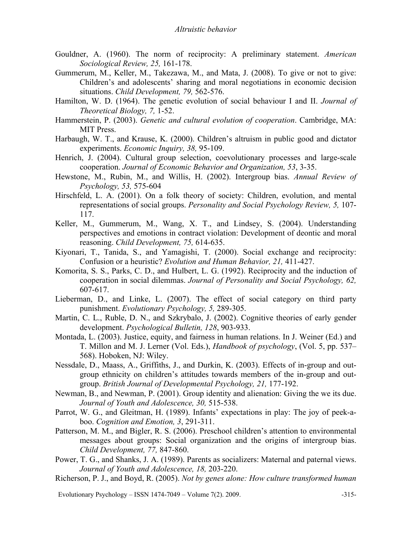- Gouldner, A. (1960). The norm of reciprocity: A preliminary statement. *American Sociological Review, 25,* 161-178.
- Gummerum, M., Keller, M., Takezawa, M., and Mata, J. (2008). To give or not to give: Children's and adolescents' sharing and moral negotiations in economic decision situations. *Child Development, 79,* 562-576.
- Hamilton, W. D. (1964). The genetic evolution of social behaviour I and II. *Journal of Theoretical Biology, 7,* 1-52.
- Hammerstein, P. (2003). *Genetic and cultural evolution of cooperation*. Cambridge, MA: MIT Press.
- Harbaugh, W. T., and Krause, K. (2000). Children's altruism in public good and dictator experiments. *Economic Inquiry, 38,* 95-109.
- Henrich, J. (2004). Cultural group selection, coevolutionary processes and large-scale cooperation. *Journal of Economic Behavior and Organization, 53*, 3-35.
- Hewstone, M., Rubin, M., and Willis, H. (2002). Intergroup bias. *Annual Review of Psychology, 53,* 575-604
- Hirschfeld, L. A. (2001). On a folk theory of society: Children, evolution, and mental representations of social groups. *Personality and Social Psychology Review, 5,* 107- 117.
- Keller, M., Gummerum, M., Wang, X. T., and Lindsey, S. (2004). Understanding perspectives and emotions in contract violation: Development of deontic and moral reasoning. *Child Development, 75,* 614-635.
- Kiyonari, T., Tanida, S., and Yamagishi, T. (2000). Social exchange and reciprocity: Confusion or a heuristic? *Evolution and Human Behavior, 21,* 411-427.
- Komorita, S. S., Parks, C. D., and Hulbert, L. G. (1992). Reciprocity and the induction of cooperation in social dilemmas. *Journal of Personality and Social Psychology, 62,* 607-617.
- Lieberman, D., and Linke, L. (2007). The effect of social category on third party punishment. *Evolutionary Psychology, 5,* 289-305.
- Martin, C. L., Ruble, D. N., and Szkrybalo, J. (2002). Cognitive theories of early gender development. *Psychological Bulletin, 128*, 903-933.
- Montada, L. (2003). Justice, equity, and fairness in human relations. In J. Weiner (Ed.) and T. Millon and M. J. Lerner (Vol. Eds.), *Handbook of psychology*, (Vol. 5, pp. 537– 568). Hoboken, NJ: Wiley.
- Nessdale, D., Maass, A., Griffiths, J., and Durkin, K. (2003). Effects of in-group and outgroup ethnicity on children's attitudes towards members of the in-group and outgroup. *British Journal of Developmental Psychology, 21,* 177-192.
- Newman, B., and Newman, P. (2001). Group identity and alienation: Giving the we its due. *Journal of Youth and Adolescence, 30,* 515-538.
- Parrot, W. G., and Gleitman, H. (1989). Infants' expectations in play: The joy of peek-aboo. *Cognition and Emotion, 3*, 291-311.
- Patterson, M. M., and Bigler, R. S. (2006). Preschool children's attention to environmental messages about groups: Social organization and the origins of intergroup bias. *Child Development, 77,* 847-860.
- Power, T. G., and Shanks, J. A. (1989). Parents as socializers: Maternal and paternal views. *Journal of Youth and Adolescence, 18,* 203-220.
- Richerson, P. J., and Boyd, R. (2005). *Not by genes alone: How culture transformed human*

Evolutionary Psychology – ISSN  $1474-7049$  – Volume 7(2). 2009.